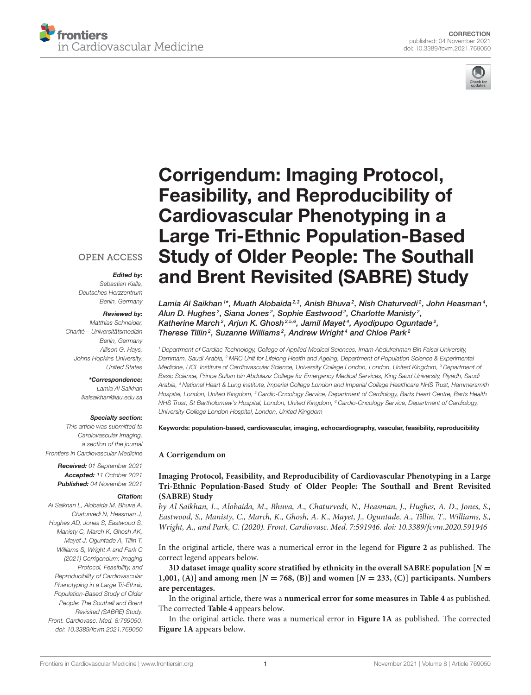



# Corrigendum: Imaging Protocol, Feasibility, and Reproducibility of Cardiovascular Phenotyping in a Large Tri-Ethnic Population-Based [Study of Older People: The Southall](https://www.frontiersin.org/articles/10.3389/fcvm.2021.769050/full) and Brent Revisited (SABRE) Study

Lamia Al Saikhan <sup>1\*</sup>, Muath Alobaida<sup>2.3</sup>, Anish Bhuva<sup>2</sup>, Nish Chaturvedi<sup>2</sup>, John Heasman<sup>4</sup>, Alun D. Hughes $^2$ , Siana Jones $^2$ , Sophie Eastwood $^2$ , Charlotte Manisty $^2$ , Katherine March<sup>2</sup>, Arjun K. Ghosh<sup>2,5,6</sup>, Jamil Mayet<sup>4</sup>, Ayodipupo Oguntade<sup>2</sup>, Therese Tillin<sup>2</sup>, Suzanne Williams<sup>2</sup>, Andrew Wright<sup>4</sup> and Chloe Park<sup>2</sup>

<sup>1</sup> Department of Cardiac Technology, College of Applied Medical Sciences, Imam Abdulrahman Bin Faisal University, Dammam, Saudi Arabia, <sup>2</sup> MRC Unit for Lifelong Health and Ageing, Department of Population Science & Experimental Medicine, UCL Institute of Cardiovascular Science, University College London, London, United Kingdom, <sup>3</sup> Department of Basic Science, Prince Sultan bin Abdulaziz College for Emergency Medical Services, King Saud University, Riyadh, Saudi Arabia, <sup>4</sup> National Heart & Lung Institute, Imperial College London and Imperial College Healthcare NHS Trust, Hammersmith Hospital, London, United Kingdom, <sup>5</sup> Cardio-Oncology Service, Department of Cardiology, Barts Heart Centre, Barts Health NHS Trust, St Bartholomew's Hospital, London, United Kingdom, <sup>6</sup> Cardio-Oncology Service, Department of Cardiology, University College London Hospital, London, United Kingdom

#### Keywords: population-based, cardiovascular, imaging, echocardiography, vascular, feasibility, reproducibility

#### **A Corrigendum on**

**Imaging Protocol, Feasibility, and Reproducibility of Cardiovascular Phenotyping in a Large [Tri-Ethnic Population-Based Study of Older People: The Southall and Brent Revisited](https://doi.org/10.3389/fcvm.2020.591946) (SABRE) Study**

by Al Saikhan, L., Alobaida, M., Bhuva, A., Chaturvedi, N., Heasman, J., Hughes, A. D., Jones, S., Eastwood, S., Manisty, C., March, K., Ghosh, A. K., Mayet, J., Oguntade, A., Tillin, T., Williams, S., Wright, A., and Park, C. (2020). Front. Cardiovasc. Med. 7:591946. doi: [10.3389/fcvm.2020.591946](https://doi.org/10.3389/fcvm.2020.591946)

In the original article, there was a numerical error in the legend for **Figure 2** as published. The correct legend appears below.

**3D dataset image quality score stratified by ethnicity in the overall SABRE population [N** = **1,001, (A)] and among men [N** = **768, (B)] and women [N** = **233, (C)] participants. Numbers are percentages.**

In the original article, there was a **numerical error for some measures** in **[Table 4](#page-1-0)** as published. The corrected **[Table 4](#page-1-0)** appears below.

In the original article, there was a numerical error in **[Figure 1A](#page-2-0)** as published. The corrected **[Figure 1A](#page-2-0)** appears below.

## **OPEN ACCESS**

# Edited by:

Sebastian Kelle, Deutsches Herzzentrum Berlin, Germany

#### Reviewed by:

Matthias Schneider, Charité – Universitätsmedizin Berlin, Germany Allison G. Hays, Johns Hopkins University, United States

# \*Correspondence:

Lamia Al Saikhan [lkalsaikhan@iau.edu.sa](mailto:lkalsaikhan@iau.edu.sa)

## Specialty section:

This article was submitted to Cardiovascular Imaging, a section of the journal Frontiers in Cardiovascular Medicine

> Received: 01 September 2021 Accepted: 11 October 2021 Published: 04 November 2021

### Citation:

Al Saikhan L, Alobaida M, Bhuva A, Chaturvedi N, Heasman J, Hughes AD, Jones S, Eastwood S, Manisty C, March K, Ghosh AK, Mayet J, Oguntade A, Tillin T, Williams S, Wright A and Park C (2021) Corrigendum: Imaging Protocol, Feasibility, and Reproducibility of Cardiovascular Phenotyping in a Large Tri-Ethnic Population-Based Study of Older People: The Southall and Brent Revisited (SABRE) Study. Front. Cardiovasc. Med. 8:769050. doi: [10.3389/fcvm.2021.769050](https://doi.org/10.3389/fcvm.2021.769050)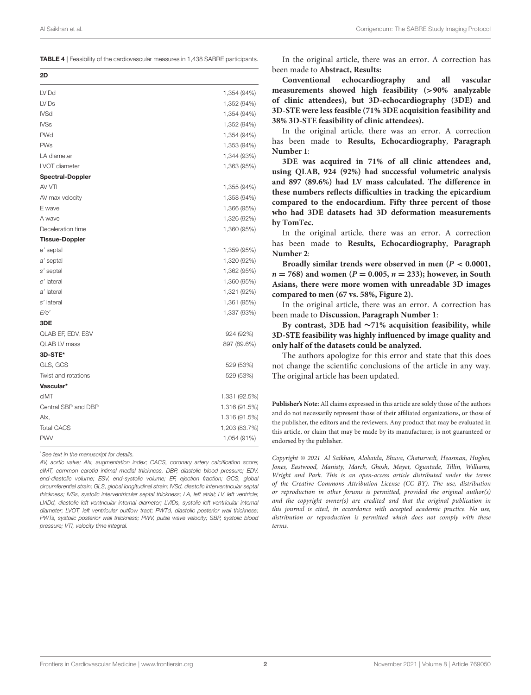<span id="page-1-0"></span>TABLE 4 | Feasibility of the cardiovascular measures in 1,438 SABRE participants.

| 2D                      |               |
|-------------------------|---------------|
| <b>LVIDd</b>            | 1,354 (94%)   |
| <b>LVIDs</b>            | 1,352 (94%)   |
| <b>IVSd</b>             | 1,354 (94%)   |
| <b>IVSs</b>             | 1,352 (94%)   |
| <b>PWd</b>              | 1,354 (94%)   |
| <b>PWs</b>              | 1,353 (94%)   |
| LA diameter             | 1,344 (93%)   |
| LVOT diameter           | 1,363 (95%)   |
| <b>Spectral-Doppler</b> |               |
| AV VTI                  | 1,355 (94%)   |
| AV max velocity         | 1,358 (94%)   |
| E wave                  | 1,366 (95%)   |
| A wave                  | 1,326 (92%)   |
| Deceleration time       | 1,360 (95%)   |
| <b>Tissue-Doppler</b>   |               |
| e' septal               | 1,359 (95%)   |
| a' septal               | 1,320 (92%)   |
| s' septal               | 1,362 (95%)   |
| e' lateral              | 1,360 (95%)   |
| a' lateral              | 1,321 (92%)   |
| s' lateral              | 1,361 (95%)   |
| E/e'                    | 1,337 (93%)   |
| 3DE                     |               |
| QLAB EF, EDV, ESV       | 924 (92%)     |
| <b>QLAB LV mass</b>     | 897 (89.6%)   |
| 3D-STE*                 |               |
| GLS, GCS                | 529 (53%)     |
| Twist and rotations     | 529 (53%)     |
| Vascular*               |               |
| cIMT                    | 1,331 (92.5%) |
| Central SBP and DBP     | 1,316 (91.5%) |
| Alx,                    | 1,316 (91.5%) |
| <b>Total CACS</b>       | 1,203 (83.7%) |
| <b>PWV</b>              | 1,054 (91%)   |

\*See text in the manuscript for details.

AV, aortic valve; Alx, augmentation index; CACS, coronary artery calcification score; cIMT, common carotid intimal medial thickness, DBP, diastolic blood pressure; EDV, end-diastolic volume; ESV, end-systolic volume; EF, ejection fraction; GCS, global circumferential strain; GLS, global longitudinal strain; IVSd, diastolic interventricular septal thickness; IVSs, systolic interventricular septal thickness; LA, left atrial; LV, left ventricle; LVIDd, diastolic left ventricular internal diameter; LVIDs, systolic left ventricular internal diameter; LVOT, left ventricular outflow tract; PWTd, diastolic posterior wall thickness; PWTs, systolic posterior wall thickness; PWV, pulse wave velocity; SBP, systolic blood pressure; VTI, velocity time integral.

In the original article, there was an error. A correction has been made to **Abstract, Results:**

**Conventional echocardiography and all vascular measurements showed high feasibility (**>**90% analyzable of clinic attendees), but 3D-echocardiography (3DE) and 3D-STE were less feasible (71% 3DE acquisition feasibility and 38% 3D-STE feasibility of clinic attendees).**

In the original article, there was an error. A correction has been made to **Results, Echocardiography**, **Paragraph Number 1**:

**3DE was acquired in 71% of all clinic attendees and, using QLAB, 924 (92%) had successful volumetric analysis and 897 (89.6%) had LV mass calculated. The difference in these numbers reflects difficulties in tracking the epicardium compared to the endocardium. Fifty three percent of those who had 3DE datasets had 3D deformation measurements by TomTec.**

In the original article, there was an error. A correction has been made to **Results, Echocardiography**, **Paragraph Number 2**:

**Broadly similar trends were observed in men (P** < **0.0001,**  $n = 768$ ) and women ( $P = 0.005$ ,  $n = 233$ ); however, in South **Asians, there were more women with unreadable 3D images compared to men (67 vs. 58%, Figure 2).**

In the original article, there was an error. A correction has been made to **Discussion**, **Paragraph Number 1**:

**By contrast, 3DE had** ∼**71% acquisition feasibility, while 3D-STE feasibility was highly influenced by image quality and only half of the datasets could be analyzed.**

The authors apologize for this error and state that this does not change the scientific conclusions of the article in any way. The original article has been updated.

**Publisher's Note:** All claims expressed in this article are solely those of the authors and do not necessarily represent those of their affiliated organizations, or those of the publisher, the editors and the reviewers. Any product that may be evaluated in this article, or claim that may be made by its manufacturer, is not guaranteed or endorsed by the publisher.

Copyright © 2021 Al Saikhan, Alobaida, Bhuva, Chaturvedi, Heasman, Hughes, Jones, Eastwood, Manisty, March, Ghosh, Mayet, Oguntade, Tillin, Williams, Wright and Park. This is an open-access article distributed under the terms of the [Creative Commons Attribution License \(CC BY\).](http://creativecommons.org/licenses/by/4.0/) The use, distribution or reproduction in other forums is permitted, provided the original author(s) and the copyright owner(s) are credited and that the original publication in this journal is cited, in accordance with accepted academic practice. No use, distribution or reproduction is permitted which does not comply with these terms.